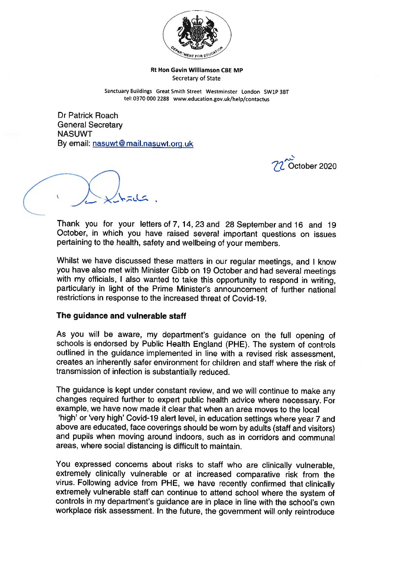

Rt Hon Gavin Williamson CBE MP Secretary of State

Sanctuary Buildings Great Smith Street Westminster London SW1P 3BT tel: <sup>0370</sup> <sup>000</sup> <sup>2288</sup> www.education.gov.uk/help/contactus

Dr Patrick Roach General Secretary NASUWT By email: nasuwt@mail.nasuwt.org.uk

October 2020

Thank you for your letters of 7, 14, <sup>23</sup> and <sup>28</sup> September and <sup>16</sup> and <sup>19</sup> October, in which you have raised several important questions on issues pertaining to the health, safety and wellbeing of your members.

Whilst we have discussed these matters in our regular meetings, and I know you have also met with Minister Gibb on <sup>19</sup> October and had several meetings with my officials, I also wanted to take this opportunity to respond in writing, particularly in light of the Prime Minister's announcement of further national restrictions in response to the increased threat of Covid-19.

### The guidance and vulnerable staff

As you will be aware, my department's guidance on the full opening of schools is endorsed by Public Health England (PHE). The system of controls outlined in the guidance implemented in line with <sup>a</sup> revised risk assessment, creates an inherently safer environment for children and staff where the risk of transmission of infection is substantially reduced.

The guidance is kept under constant review, and we will continue to make any changes required further to expert public health advice where necessary. For example, we have now made it clear that when an area moves to the local 'high' or 'very high' Covid-19 alert level, in education settings where year 7 and above are educated, face coverings should be worn by adults (staff and visitors) and pupils when moving around indoors, such as in corridors and communal areas, where social distancing is difficult to maintain.

You expressed concerns about risks to staff who are clinically vulnerable, extremely clinically vulnerable or at increased comparative risk from the virus. Following advice from PHE, we have recently confirmed that clinically extremely vulnerable staff can continue to attend school where the system of controls in my department's guidance are in <sup>p</sup>lace in line with the school's own workplace risk assessment. In the future, the government will only reintroduce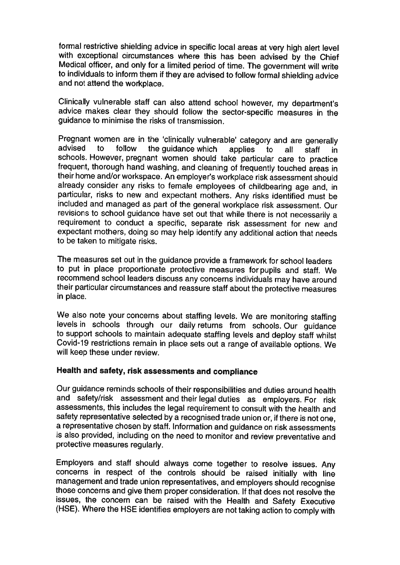formal restrictive shielding advice in specific local areas at very high alert level with exceptional circumstances where this has been advised by the Chief<br>Medical officer, and only for a limited period of time. The government will write to individuals to inform them if they are advised to follow formal shielding advice and not attend the workplace.

Clinically vulnerable staff can also attend school however, my department's advice makes clear they should follow the sector-specific measures in the guidance to minimise the risks of transmission.

Pregnant women are in the 'clinically vulnerable' category and are generally advised to follow the guidance which applies to all staff in schools. However, pregnant women should take particular care to practice frequent, thorough hand washing, and cleaning of frequently touched areas in their home and/or workspace. An employer's workplace risk assessment should already consider any risks to female employees of childbearing age and, in particular, risks to new and expectant mothers. Any risks identified must be included and managed as part of the general workplace risk assessment. Our revisions to school guidance have set out that while there is not necessarily a requirement to conduct <sup>a</sup> specific, separate risk assessment for new and expectant mothers, doing so may help identify any additional action that needs to be taken to mitigate risks.

The measures set out in the guidance provide <sup>a</sup> framework for school leaders to put in <sup>p</sup>lace proportionate protective measures for pupils and staff. We recommend school leaders discuss any concerns individuals may have around their particular circumstances and reassure staff about the protective measures in place.

We also note your concerns about staffing levels. We are monitoring staffing levels in schools through our daily returns from schools. Our guidance to support schools to maintain adequate staffing levels and deploy staff whilst Covid-19 restrictions remain in place sets out a range of available options. We will keep these under review.

# Health and safety, risk assessments and compliance

Our guidance reminds schools of their responsibilities and duties around health and safety/risk assessment and their legal duties as employers. For risk assessments, this includes the legal requirement to consult with the health and safety representative selected by <sup>a</sup> recognised trade union or, if there is not one, <sup>a</sup> representative chosen by staff. Information and guidance on risk assessments is also provided, including on the need to monitor and review preventative and protective measures regularly.

Employers and staff should always come together to resolve issues. Any concerns in respect of the controls should be raised initially with line management and trade union representatives, and employers should recognise those concerns and give them proper consideration. If that does not resolve the issues, the concern can be raised with the Health and Safety Executive (HSE). Where the HSE identifies employers are not taking action to comply with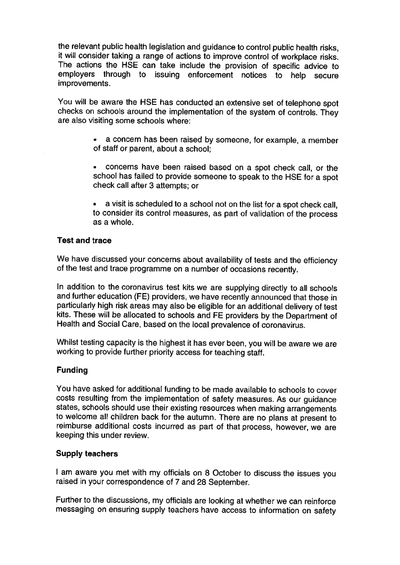the relevant public health legislation and guidance to control public health risks, it will consider taking <sup>a</sup> range of actions to improve control of workplace risks. The actions the HSE can take include the provision of specific advice to employers through to issuing enforcement notices to help secure improvements.

You will be aware the HSE has conducted an extensive set of telephone spot checks on schools around the implementation of the system of controls. They are also visiting some schools where:

- • <sup>a</sup> concern has been raised by someone, for example, <sup>a</sup> member of staff or parent, about <sup>a</sup> school;
- • concerns have been raised based on <sup>a</sup> spot check call, or the school has failed to provide someone to speak to the HSE for <sup>a</sup> spot check call after 3 attempts; or
- • <sup>a</sup> visit is scheduled to <sup>a</sup> school not on the list for <sup>a</sup> spot check call, to consider its control measures, as part of validation of the process as <sup>a</sup> whole.

## Test and trace

We have discussed your concerns about availability of tests and the efficiency of the test and trace programme on <sup>a</sup> number of occasions recently.

In addition to the coronavirus test kits we are supplying directly to all schools and further education (FE) providers, we have recently announced that those in particularly high risk areas may also be eligible for an additional delivery of test kits. These will be allocated to schools and FE providers by the Department of Health and Social Care, based on the local prevalence of coronavirus.

Whilst testing capacity is the highest it has ever been, you will be aware we are working to provide further priority access for teaching staff.

## Funding

You have asked for additional funding to be made available to schools to cover costs resulting from the implementation of safety measures. As our guidance states, schools should use their existing resources when making arrangements to welcome all children back for the autumn. There are no <sup>p</sup>lans at present to reimburse additional costs incurred as part of that process, however, we are keeping this under review.

### Supply teachers

am aware you met with my officials on <sup>8</sup> October to discuss the issues you raised in your correspondence of <sup>7</sup> and <sup>28</sup> September.

Further to the discussions, my officials are looking at whether we can reinforce messaging on ensuring supply teachers have access to information on safety